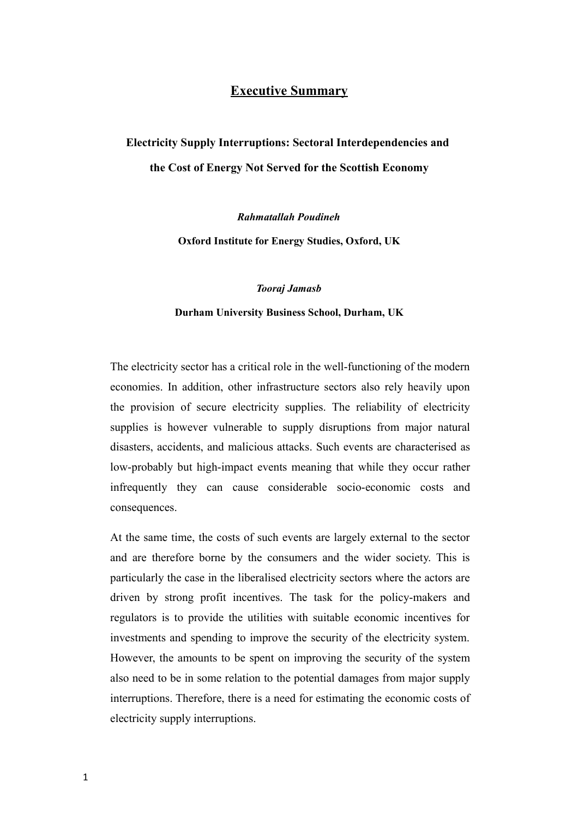## **Executive Summary**

## **Electricity Supply Interruptions: Sectoral Interdependencies and the Cost of Energy Not Served for the Scottish Economy**

*Rahmatallah Poudineh*

**Oxford Institute for Energy Studies, Oxford, UK**

*Tooraj Jamasb*

## **Durham University Business School, Durham, UK**

The electricity sector has a critical role in the well-functioning of the modern economies. In addition, other infrastructure sectors also rely heavily upon the provision of secure electricity supplies. The reliability of electricity supplies is however vulnerable to supply disruptions from major natural disasters, accidents, and malicious attacks. Such events are characterised as low-probably but high-impact events meaning that while they occur rather infrequently they can cause considerable socio-economic costs and consequences.

At the same time, the costs of such events are largely external to the sector and are therefore borne by the consumers and the wider society. This is particularly the case in the liberalised electricity sectors where the actors are driven by strong profit incentives. The task for the policy-makers and regulators is to provide the utilities with suitable economic incentives for investments and spending to improve the security of the electricity system. However, the amounts to be spent on improving the security of the system also need to be in some relation to the potential damages from major supply interruptions. Therefore, there is a need for estimating the economic costs of electricity supply interruptions.